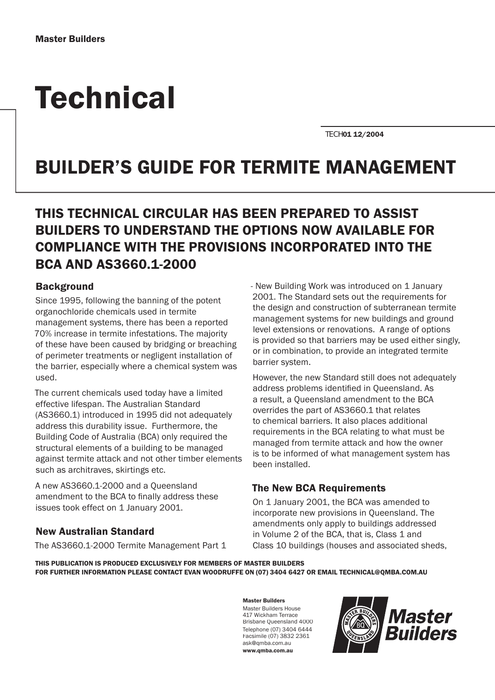# **Technical**

TECH01 12/2004

# BUILDER'S GUIDE FOR TERMITE MANAGEMENT

# THIS TECHNICAL CIRCULAR HAS BEEN PREPARED TO ASSIST BUILDERS TO UNDERSTAND THE OPTIONS NOW AVAILABLE FOR COMPLIANCE WITH THE PROVISIONS INCORPORATED INTO THE BCA AND AS3660.1-2000

#### **Background**

Since 1995, following the banning of the potent organochloride chemicals used in termite management systems, there has been a reported 70% increase in termite infestations. The majority of these have been caused by bridging or breaching of perimeter treatments or negligent installation of the barrier, especially where a chemical system was used.

The current chemicals used today have a limited effective lifespan. The Australian Standard (AS3660.1) introduced in 1995 did not adequately address this durability issue. Furthermore, the Building Code of Australia (BCA) only required the structural elements of a building to be managed against termite attack and not other timber elements such as architraves, skirtings etc.

A new AS3660.1-2000 and a Queensland amendment to the BCA to finally address these issues took effect on 1 January 2001.

# New Australian Standard

The AS3660.1-2000 Termite Management Part 1

- New Building Work was introduced on 1 January 2001. The Standard sets out the requirements for the design and construction of subterranean termite management systems for new buildings and ground level extensions or renovations. A range of options is provided so that barriers may be used either singly, or in combination, to provide an integrated termite barrier system.

However, the new Standard still does not adequately address problems identified in Queensland. As a result, a Queensland amendment to the BCA overrides the part of AS3660.1 that relates to chemical barriers. It also places additional requirements in the BCA relating to what must be managed from termite attack and how the owner is to be informed of what management system has been installed.

# The New BCA Requirements

On 1 January 2001, the BCA was amended to incorporate new provisions in Queensland. The amendments only apply to buildings addressed in Volume 2 of the BCA, that is, Class 1 and Class 10 buildings (houses and associated sheds,

THIS PUBLICATION IS PRODUCED EXCLUSIVELY FOR MEMBERS OF MASTER BUILDERS FOR FURTHER INFORMATION PLEASE CONTACT EVAN WOODRUFFE ON (07) 3404 6427 OR EMAIL TECHNICAL@QMBA.COM.AU

> Master Builders Master Builders House 417 Wickham Terrace Brisbane Queensland 4000 Telephone (07) 3404 6444 Facsimile (07) 3832 2361 ask@qmba.com.au www.qmba.com.au

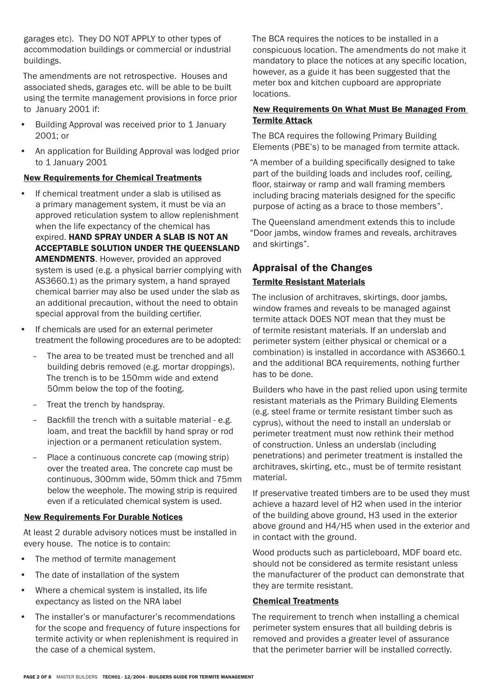garages etc). They DO NOT APPLY to other types of accommodation buildings or commercial or industrial buildings.

The amendments are not retrospective. Houses and associated sheds, garages etc. will be able to be built using the termite management provisions in force prior to January 2001 if:

- Building Approval was received prior to 1 January 2001; or
- An application for Building Approval was lodged prior to 1 January 2001

#### New Requirements for Chemical Treatments q

- If chemical treatment under a slab is utilised as a primary management system, it must be via an approved reticulation system to allow replenishment when the life expectancy of the chemical has expired. HAND SPRAY UNDER A SLAB IS NOT AN ACCEPTABLE SOLUTION UNDER THE QUEENSLAND AMENDMENTS. However, provided an approved system is used (e.g. a physical barrier complying with AS3660.1) as the primary system, a hand sprayed chemical barrier may also be used under the slab as an additional precaution, without the need to obtain special approval from the building certifier.
- If chemicals are used for an external perimeter treatment the following procedures are to be adopted:
	- The area to be treated must be trenched and all building debris removed (e.g. mortar droppings). The trench is to be 150mm wide and extend 50mm below the top of the footing.
	- Treat the trench by handspray.
	- Backfill the trench with a suitable material e.g. loam, and treat the backfill by hand spray or rod injection or a permanent reticulation system.
	- Place a continuous concrete cap (mowing strip) over the treated area. The concrete cap must be continuous, 300mm wide, 50mm thick and 75mm below the weephole. The mowing strip is required even if a reticulated chemical system is used.

#### New Requirements For Durable Notices q

At least 2 durable advisory notices must be installed in every house. The notice is to contain:

- The method of termite management
- The date of installation of the system
- Where a chemical system is installed, its life expectancy as listed on the NRA label
- The installer's or manufacturer's recommendations for the scope and frequency of future inspections for termite activity or when replenishment is required in the case of a chemical system.

The BCA requires the notices to be installed in a conspicuous location. The amendments do not make it mandatory to place the notices at any specific location, however, as a guide it has been suggested that the meter box and kitchen cupboard are appropriate locations.

#### New Requirements On What Must Be Managed From Termite Attack

The BCA requires the following Primary Building Elements (PBE's) to be managed from termite attack.

"A member of a building specifically designed to take part of the building loads and includes roof, ceiling, floor, stairway or ramp and wall framing members including bracing materials designed for the specific purpose of acting as a brace to those members".

The Queensland amendment extends this to include "Door jambs, window frames and reveals, architraves and skirtings".

#### Appraisal of the Changes Termite Resistant Materials

The inclusion of architraves, skirtings, door jambs, window frames and reveals to be managed against termite attack DOES NOT mean that they must be of termite resistant materials. If an underslab and perimeter system (either physical or chemical or a combination) is installed in accordance with AS3660.1 and the additional BCA requirements, nothing further has to be done.

Builders who have in the past relied upon using termite resistant materials as the Primary Building Elements (e.g. steel frame or termite resistant timber such as cyprus), without the need to install an underslab or perimeter treatment must now rethink their method of construction. Unless an underslab (including penetrations) and perimeter treatment is installed the architraves, skirting, etc., must be of termite resistant material.

If preservative treated timbers are to be used they must achieve a hazard level of H2 when used in the interior of the building above ground, H3 used in the exterior above ground and H4/H5 when used in the exterior and in contact with the ground.

Wood products such as particleboard, MDF board etc. should not be considered as termite resistant unless the manufacturer of the product can demonstrate that they are termite resistant.

#### Chemical Treatments

The requirement to trench when installing a chemical perimeter system ensures that all building debris is removed and provides a greater level of assurance that the perimeter barrier will be installed correctly.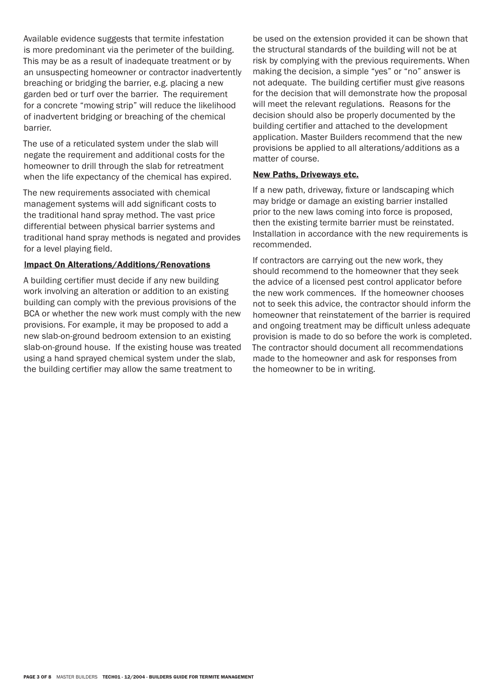Available evidence suggests that termite infestation is more predominant via the perimeter of the building. This may be as a result of inadequate treatment or by an unsuspecting homeowner or contractor inadvertently breaching or bridging the barrier, e.g. placing a new garden bed or turf over the barrier. The requirement for a concrete "mowing strip" will reduce the likelihood of inadvertent bridging or breaching of the chemical barrier.

The use of a reticulated system under the slab will negate the requirement and additional costs for the homeowner to drill through the slab for retreatment when the life expectancy of the chemical has expired.

The new requirements associated with chemical management systems will add significant costs to the traditional hand spray method. The vast price differential between physical barrier systems and traditional hand spray methods is negated and provides for a level playing field.

#### Impact On Alterations/Additions/Renovations

A building certifier must decide if any new building work involving an alteration or addition to an existing building can comply with the previous provisions of the BCA or whether the new work must comply with the new provisions. For example, it may be proposed to add a new slab-on-ground bedroom extension to an existing slab-on-ground house. If the existing house was treated using a hand sprayed chemical system under the slab, the building certifier may allow the same treatment to

be used on the extension provided it can be shown that the structural standards of the building will not be at risk by complying with the previous requirements. When making the decision, a simple "yes" or "no" answer is not adequate. The building certifier must give reasons for the decision that will demonstrate how the proposal will meet the relevant regulations. Reasons for the decision should also be properly documented by the building certifier and attached to the development application. Master Builders recommend that the new provisions be applied to all alterations/additions as a matter of course.

#### New Paths, Driveways etc.

If a new path, driveway, fixture or landscaping which may bridge or damage an existing barrier installed prior to the new laws coming into force is proposed, then the existing termite barrier must be reinstated. Installation in accordance with the new requirements is recommended.

If contractors are carrying out the new work, they should recommend to the homeowner that they seek the advice of a licensed pest control applicator before the new work commences. If the homeowner chooses not to seek this advice, the contractor should inform the homeowner that reinstatement of the barrier is required and ongoing treatment may be difficult unless adequate provision is made to do so before the work is completed. The contractor should document all recommendations made to the homeowner and ask for responses from the homeowner to be in writing.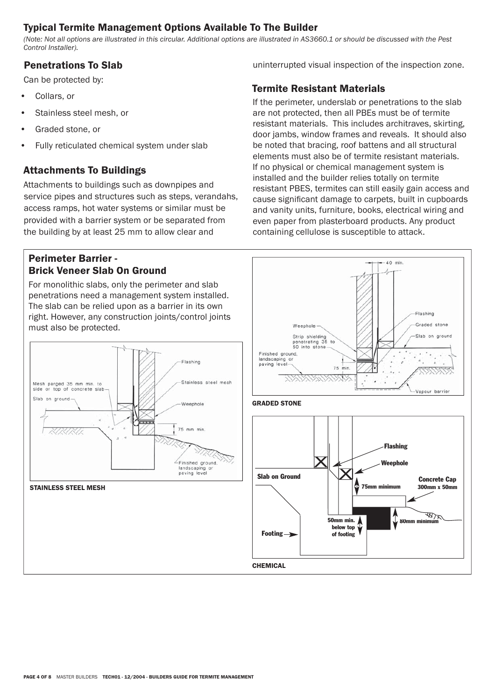# Typical Termite Management Options Available To The Builder

*(Note: Not all options are illustrated in this circular. Additional options are illustrated in AS3660.1 or should be discussed with the Pest Control Installer).*

# Penetrations To Slab

Can be protected by:

- Collars, or
- Stainless steel mesh, or
- Graded stone, or
- Fully reticulated chemical system under slab

# Attachments To Buildings

Attachments to buildings such as downpipes and service pipes and structures such as steps, verandahs, access ramps, hot water systems or similar must be provided with a barrier system or be separated from the building by at least 25 mm to allow clear and

#### Perimeter Barrier - Brick Veneer Slab On Ground

For monolithic slabs, only the perimeter and slab penetrations need a management system installed. The slab can be relied upon as a barrier in its own right. However, any construction joints/control joints must also be protected.



#### STAINLESS STEEL MESH

uninterrupted visual inspection of the inspection zone.

# Termite Resistant Materials

If the perimeter, underslab or penetrations to the slab are not protected, then all PBEs must be of termite resistant materials. This includes architraves, skirting, door jambs, window frames and reveals. It should also be noted that bracing, roof battens and all structural elements must also be of termite resistant materials. If no physical or chemical management system is installed and the builder relies totally on termite resistant PBES, termites can still easily gain access and cause significant damage to carpets, built in cupboards and vanity units, furniture, books, electrical wiring and even paper from plasterboard products. Any product containing cellulose is susceptible to attack.

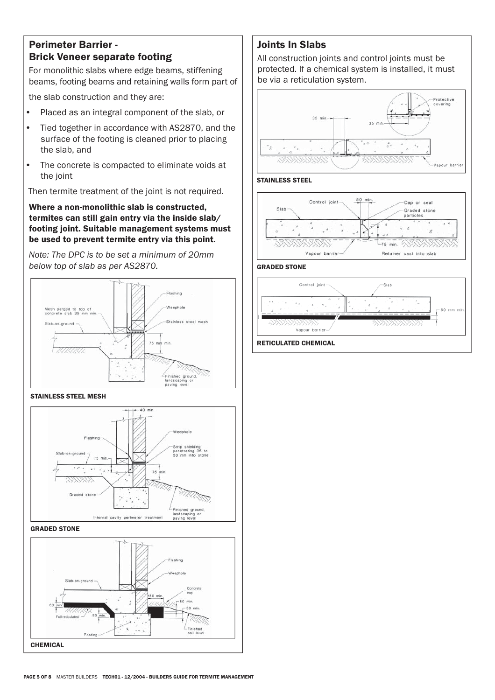## Perimeter Barrier - Brick Veneer separate footing

For monolithic slabs where edge beams, stiffening beams, footing beams and retaining walls form part of

the slab construction and they are:

- Placed as an integral component of the slab, or
- Tied together in accordance with AS2870, and the surface of the footing is cleaned prior to placing the slab, and
- The concrete is compacted to eliminate voids at the joint

Then termite treatment of the joint is not required.

Where a non-monolithic slab is constructed, termites can still gain entry via the inside slab/ footing joint. Suitable management systems must be used to prevent termite entry via this point.

*Note: The DPC is to be set a minimum of 20mm below top of slab as per AS2870.*



#### STAINLESS STEEL MESH



GRADED STONE



# Joints In Slabs

All construction joints and control joints must be protected. If a chemical system is installed, it must be via a reticulation system.









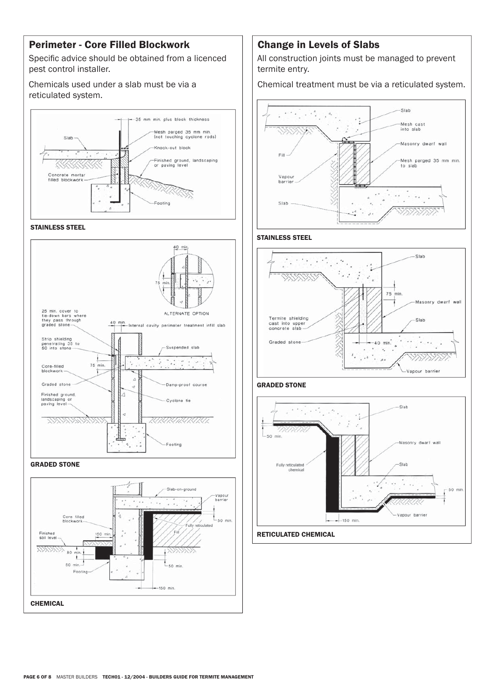# Perimeter - Core Filled Blockwork

Specific advice should be obtained from a licenced pest control installer.

Chemicals used under a slab must be via a reticulated system.



#### STAINLESS STEEL



#### GRADED STONE



#### Change in Levels of Slabs

All construction joints must be managed to prevent termite entry.

Chemical treatment must be via a reticulated system.



#### STAINLESS STEEL



#### GRADED STONE

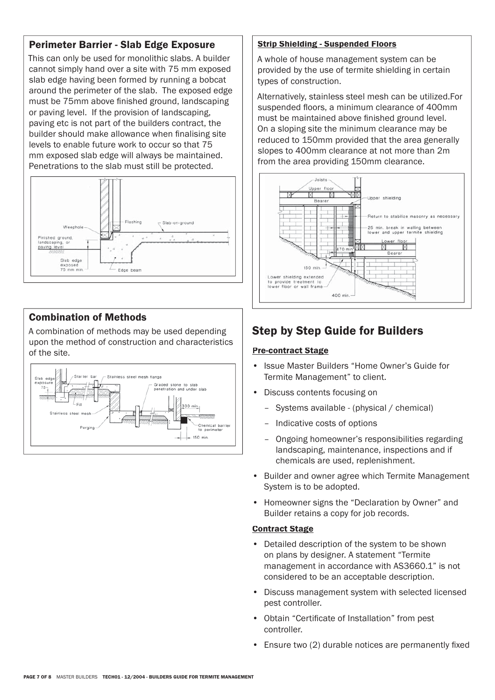# Perimeter Barrier - Slab Edge Exposure

This can only be used for monolithic slabs. A builder cannot simply hand over a site with 75 mm exposed slab edge having been formed by running a bobcat around the perimeter of the slab. The exposed edge must be 75mm above finished ground, landscaping or paving level. If the provision of landscaping, paving etc is not part of the builders contract, the builder should make allowance when finalising site levels to enable future work to occur so that 75 mm exposed slab edge will always be maintained. Penetrations to the slab must still be protected.



# Combination of Methods

A combination of methods may be used depending upon the method of construction and characteristics of the site.



# **Strip Shielding - Suspended Floors**

A whole of house management system can be provided by the use of termite shielding in certain types of construction.

Alternatively, stainless steel mesh can be utilized.For suspended floors, a minimum clearance of 400mm must be maintained above finished ground level. On a sloping site the minimum clearance may be reduced to 150mm provided that the area generally slopes to 400mm clearance at not more than 2m from the area providing 150mm clearance.



# Step by Step Guide for Builders

#### Pre-contract Stage

- Issue Master Builders "Home Owner's Guide for Termite Management" to client.
- Discuss contents focusing on
	- Systems available (physical / chemical)
	- Indicative costs of options
	- Ongoing homeowner's responsibilities regarding landscaping, maintenance, inspections and if chemicals are used, replenishment.
- Builder and owner agree which Termite Management System is to be adopted.
- Homeowner signs the "Declaration by Owner" and Builder retains a copy for job records.

#### Contract Stage

- Detailed description of the system to be shown on plans by designer. A statement "Termite management in accordance with AS3660.1" is not considered to be an acceptable description.
- Discuss management system with selected licensed pest controller.
- Obtain "Certificate of Installation" from pest controller.
- Ensure two (2) durable notices are permanently fixed